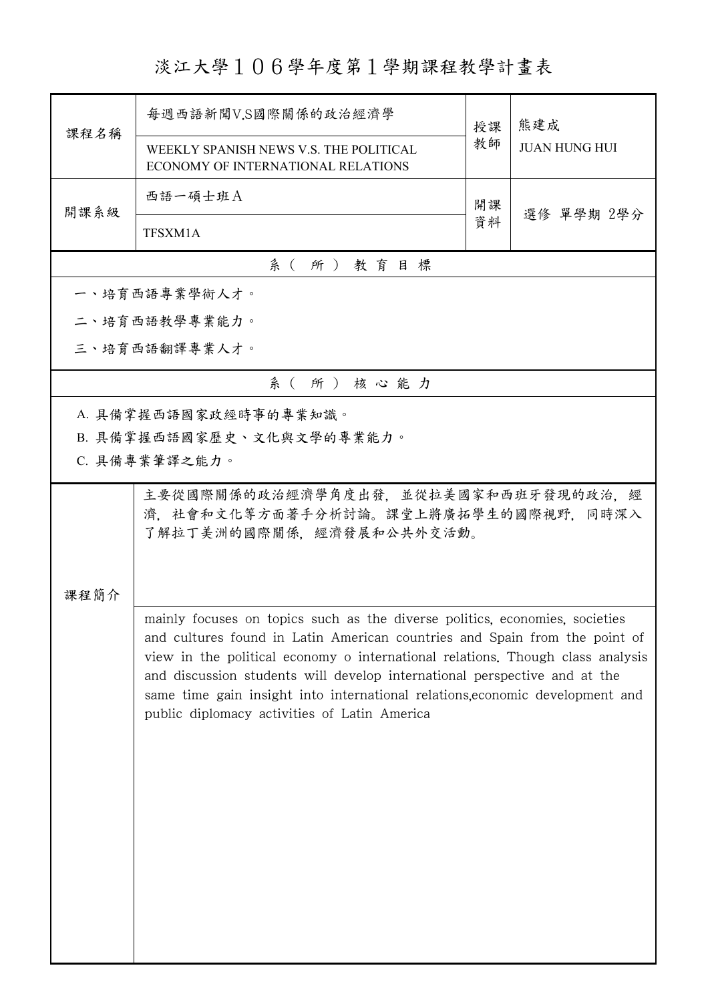## 淡江大學106學年度第1學期課程教學計畫表

| 課程名稱 | 每週西語新聞V.S國際關係的政治經濟學                                                                                                                                                                                                                                                                                                                                                                                                                                       | 授課 | 熊建成<br><b>JUAN HUNG HUI</b> |  |
|------|-----------------------------------------------------------------------------------------------------------------------------------------------------------------------------------------------------------------------------------------------------------------------------------------------------------------------------------------------------------------------------------------------------------------------------------------------------------|----|-----------------------------|--|
|      | WEEKLY SPANISH NEWS V.S. THE POLITICAL<br>ECONOMY OF INTERNATIONAL RELATIONS                                                                                                                                                                                                                                                                                                                                                                              | 教師 |                             |  |
| 開課系級 | 西語一碩士班A                                                                                                                                                                                                                                                                                                                                                                                                                                                   | 開課 |                             |  |
|      | TFSXM1A                                                                                                                                                                                                                                                                                                                                                                                                                                                   | 資料 | 選修 單學期 2學分                  |  |
|      | 系 (所) 教育目標                                                                                                                                                                                                                                                                                                                                                                                                                                                |    |                             |  |
|      | 一、培育西語專業學術人才。                                                                                                                                                                                                                                                                                                                                                                                                                                             |    |                             |  |
|      | 二、培育西語教學專業能力。                                                                                                                                                                                                                                                                                                                                                                                                                                             |    |                             |  |
|      | 三、培育西語翻譯專業人才。                                                                                                                                                                                                                                                                                                                                                                                                                                             |    |                             |  |
|      | 系(所)核心能力                                                                                                                                                                                                                                                                                                                                                                                                                                                  |    |                             |  |
|      | A. 具備掌握西語國家政經時事的專業知識。                                                                                                                                                                                                                                                                                                                                                                                                                                     |    |                             |  |
|      | B. 具備掌握西語國家歷史、文化與文學的專業能力。                                                                                                                                                                                                                                                                                                                                                                                                                                 |    |                             |  |
|      | C. 具備專業筆譯之能力。                                                                                                                                                                                                                                                                                                                                                                                                                                             |    |                             |  |
|      | 主要從國際關係的政治經濟學角度出發,並從拉美國家和西班牙發現的政治,經<br>濟,社會和文化等方面著手分析討論。課堂上將廣拓學生的國際視野,同時深入<br>了解拉丁美洲的國際關係,經濟發展和公共外交活動。                                                                                                                                                                                                                                                                                                                                                    |    |                             |  |
| 課程簡介 |                                                                                                                                                                                                                                                                                                                                                                                                                                                           |    |                             |  |
|      | mainly focuses on topics such as the diverse politics, economies, societies<br>and cultures found in Latin American countries and Spain from the point of<br>view in the political economy o international relations. Though class analysis<br>and discussion students will develop international perspective and at the<br>same time gain insight into international relations, economic development and<br>public diplomacy activities of Latin America |    |                             |  |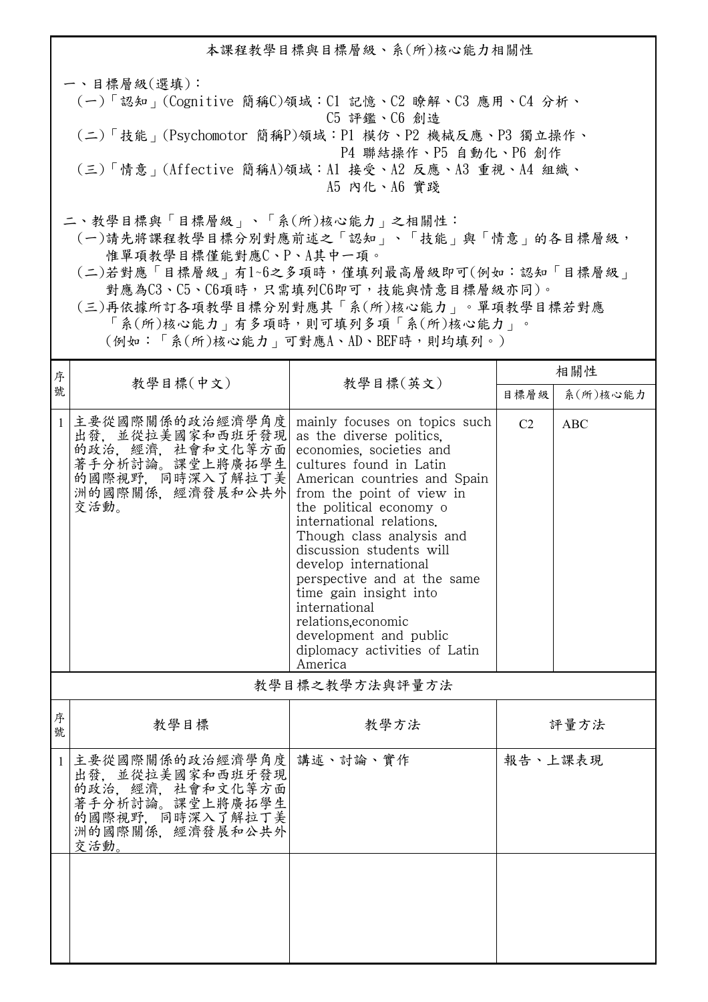本課程教學目標與目標層級、系(所)核心能力相關性 一、目標層級(選填): (一)「認知」(Cognitive 簡稱C)領域:C1 記憶、C2 瞭解、C3 應用、C4 分析、 C5 評鑑、C6 創造 (二)「技能」(Psychomotor 簡稱P)領域:P1 模仿、P2 機械反應、P3 獨立操作、 P4 聯結操作、P5 自動化、P6 創作 (三)「情意」(Affective 簡稱A)領域:A1 接受、A2 反應、A3 重視、A4 組織、 A5 內化、A6 實踐 二、教學目標與「目標層級」、「系(所)核心能力」之相關性: (一)請先將課程教學目標分別對應前述之「認知」、「技能」與「情意」的各目標層級,

惟單項教學目標僅能對應C、P、A其中一項。

 (二)若對應「目標層級」有1~6之多項時,僅填列最高層級即可(例如:認知「目標層級」 對應為C3、C5、C6項時,只需填列C6即可,技能與情意目標層級亦同)。

 (三)再依據所訂各項教學目標分別對應其「系(所)核心能力」。單項教學目標若對應 「系(所)核心能力」有多項時,則可填列多項「系(所)核心能力」。

(例如:「系(所)核心能力」可對應A、AD、BEF時,則均填列。)

| 序            |                                                                                                                                   |                                                                                                                                                                                                                                                                                                                                                                                                                                                                                              | 相關性            |            |  |
|--------------|-----------------------------------------------------------------------------------------------------------------------------------|----------------------------------------------------------------------------------------------------------------------------------------------------------------------------------------------------------------------------------------------------------------------------------------------------------------------------------------------------------------------------------------------------------------------------------------------------------------------------------------------|----------------|------------|--|
| 號            | 教學目標(中文)                                                                                                                          | 教學目標(英文)                                                                                                                                                                                                                                                                                                                                                                                                                                                                                     | 目標層級           | 系(所)核心能力   |  |
| $\mathbf{1}$ | 主要從國際關係的政治經濟學角度<br>出發,並從拉美國家和西班牙發現<br>的政治, 經濟, 社會和文化等方面<br>著手分析討論。課堂上將廣拓學生<br>的國際視野, 同時深入了解拉丁美<br>洲的國際關係、經濟發展和公共外<br>交活動。         | mainly focuses on topics such<br>as the diverse politics,<br>economies, societies and<br>cultures found in Latin<br>American countries and Spain<br>from the point of view in<br>the political economy o<br>international relations.<br>Though class analysis and<br>discussion students will<br>develop international<br>perspective and at the same<br>time gain insight into<br>international<br>relations.economic<br>development and public<br>diplomacy activities of Latin<br>America | C <sub>2</sub> | <b>ABC</b> |  |
|              | 教學目標之教學方法與評量方法                                                                                                                    |                                                                                                                                                                                                                                                                                                                                                                                                                                                                                              |                |            |  |
| 序<br>號       | 教學目標                                                                                                                              | 教學方法                                                                                                                                                                                                                                                                                                                                                                                                                                                                                         | 評量方法           |            |  |
| $\mathbf{1}$ | 主要從國際關係的政治經濟學角度 講述、討論、實作<br>出發, 並從拉美國家和西班牙發現<br>的政治、經濟、社會和文化等方面<br>著手分析討論。課堂上將廣拓學生<br>的國際視野, 同時深入了解拉丁美<br>洲的國際關係、經濟發展和公共外<br>交活動。 |                                                                                                                                                                                                                                                                                                                                                                                                                                                                                              | 報告、上課表現        |            |  |
|              |                                                                                                                                   |                                                                                                                                                                                                                                                                                                                                                                                                                                                                                              |                |            |  |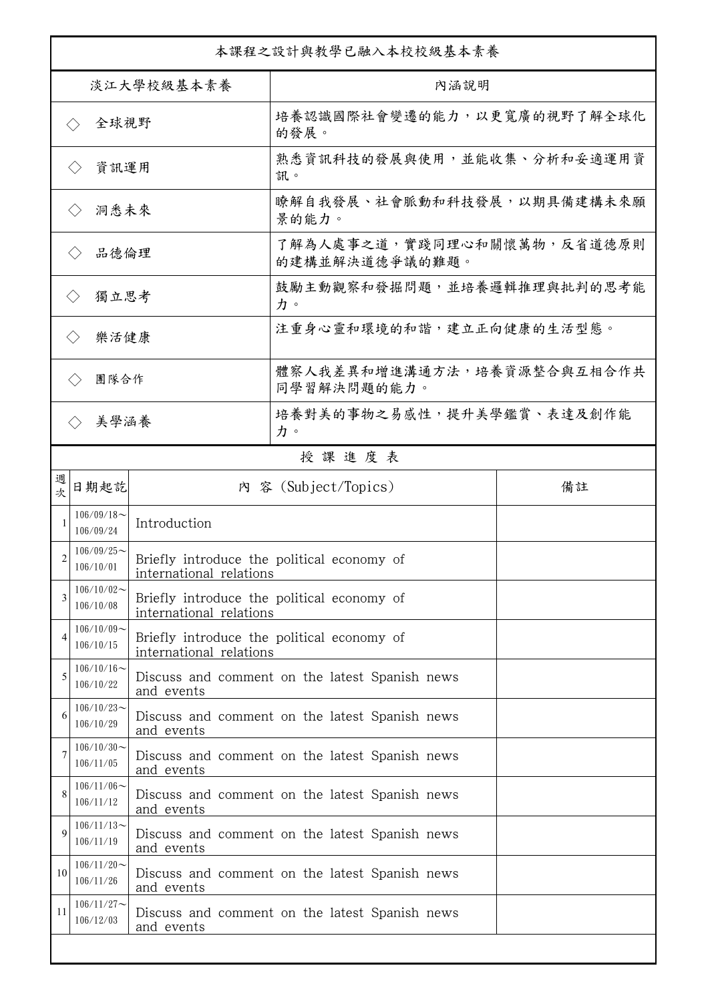| 本課程之設計與教學已融入本校校級基本素養        |                               |                         |                                                |    |  |
|-----------------------------|-------------------------------|-------------------------|------------------------------------------------|----|--|
| 淡江大學校級基本素養                  |                               |                         | 內涵說明                                           |    |  |
| 全球視野<br>$\langle \ \rangle$ |                               |                         | 培養認識國際社會變遷的能力,以更寬廣的視野了解全球化<br>的發展。             |    |  |
| 資訊運用<br>$\langle \ \rangle$ |                               |                         | 熟悉資訊科技的發展與使用,並能收集、分析和妥適運用資<br>訊。               |    |  |
| 洞悉未來<br>$\langle \ \rangle$ |                               |                         | 瞭解自我發展、社會脈動和科技發展,以期具備建構未來願<br>景的能力。            |    |  |
| 品德倫理                        |                               |                         | 了解為人處事之道,實踐同理心和關懷萬物,反省道德原則<br>的建構並解決道德爭議的難題。   |    |  |
| 獨立思考<br>$\langle \rangle$   |                               |                         | 鼓勵主動觀察和發掘問題,並培養邏輯推理與批判的思考能<br>力。               |    |  |
| 樂活健康<br>$\langle \rangle$   |                               |                         | 注重身心靈和環境的和諧,建立正向健康的生活型態。                       |    |  |
| 團隊合作<br>$\langle \ \rangle$ |                               |                         | 體察人我差異和增進溝通方法,培養資源整合與互相合作共<br>同學習解決問題的能力。      |    |  |
|                             | 美學涵養                          |                         | 培養對美的事物之易感性,提升美學鑑賞、表達及創作能<br>力。                |    |  |
|                             |                               |                         | 授課進度表                                          |    |  |
| 週<br>欤                      | 日期起訖                          |                         | 內 容 (Subject/Topics)                           | 備註 |  |
|                             | $106/09/18$ ~<br>106/09/24    | Introduction            |                                                |    |  |
| 2                           | $106/09/25$ ~<br>106/10/01    | international relations | Briefly introduce the political economy of     |    |  |
| 3                           | $106/10/02$ ~<br>106/10/08    | international relations | Briefly introduce the political economy of     |    |  |
|                             | $106/10/09$ ~<br>106/10/15    | international relations | Briefly introduce the political economy of     |    |  |
| 5                           | $106/10/16 \sim$<br>106/10/22 | and events              | Discuss and comment on the latest Spanish news |    |  |
| 6                           | $106/10/23$ ~<br>106/10/29    | and events              | Discuss and comment on the latest Spanish news |    |  |
| 7                           | $106/10/30$ ~<br>106/11/05    | and events              | Discuss and comment on the latest Spanish news |    |  |
| 8                           | $106/11/06$ ~<br>106/11/12    | and events              | Discuss and comment on the latest Spanish news |    |  |
| 9                           | $106/11/13$ ~<br>106/11/19    | and events              | Discuss and comment on the latest Spanish news |    |  |
| 10                          | $106/11/20$ ~<br>106/11/26    | and events              | Discuss and comment on the latest Spanish news |    |  |
| 11                          | $106/11/27$ ~<br>106/12/03    | and events              | Discuss and comment on the latest Spanish news |    |  |
|                             |                               |                         |                                                |    |  |